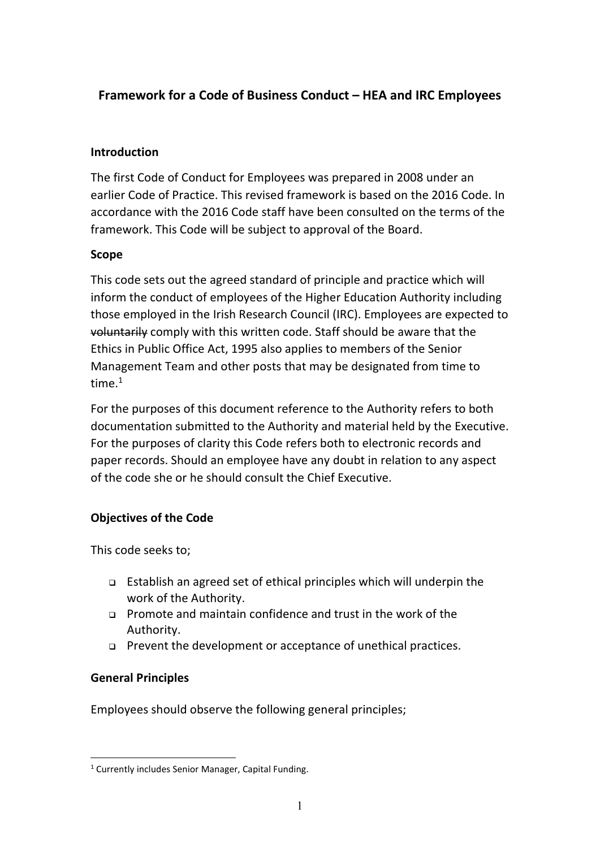# **Framework for a Code of Business Conduct – HEA and IRC Employees**

### **Introduction**

The first Code of Conduct for Employees was prepared in 2008 under an earlier Code of Practice. This revised framework is based on the 2016 Code. In accordance with the 2016 Code staff have been consulted on the terms of the framework. This Code will be subject to approval of the Board.

### **Scope**

This code sets out the agreed standard of principle and practice which will inform the conduct of employees of the Higher Education Authority including those employed in the Irish Research Council (IRC). Employees are expected to voluntarily comply with this written code. Staff should be aware that the Ethics in Public Office Act, 1995 also applies to members of the Senior Management Team and other posts that may be designated from time to time $1$ 

For the purposes of this document reference to the Authority refers to both documentation submitted to the Authority and material held by the Executive. For the purposes of clarity this Code refers both to electronic records and paper records. Should an employee have any doubt in relation to any aspect of the code she or he should consult the Chief Executive.

## **Objectives of the Code**

This code seeks to;

- Establish an agreed set of ethical principles which will underpin the work of the Authority.
- Promote and maintain confidence and trust in the work of the Authority.
- Prevent the development or acceptance of unethical practices.

#### **General Principles**

Employees should observe the following general principles;

<sup>&</sup>lt;sup>1</sup> Currently includes Senior Manager, Capital Funding.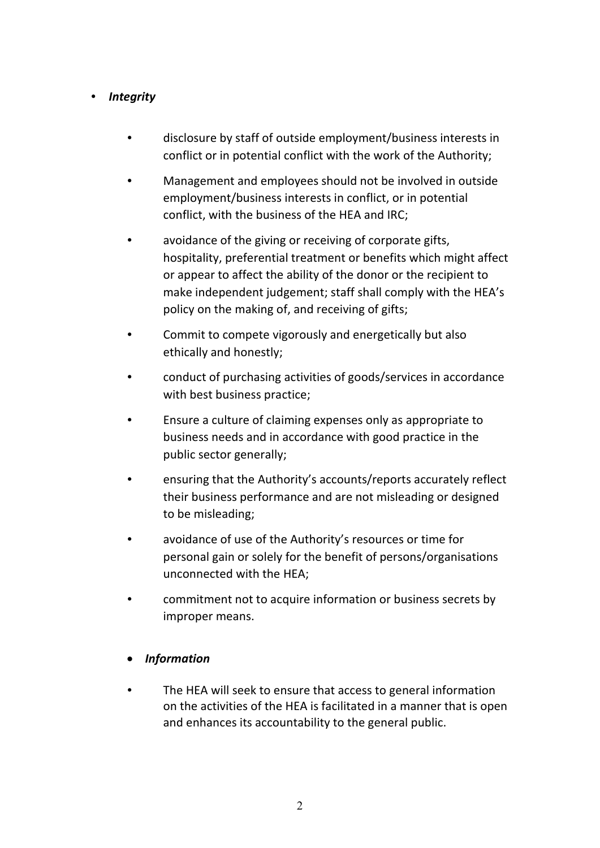#### *Integrity*

- disclosure by staff of outside employment/business interests in conflict or in potential conflict with the work of the Authority;
- Management and employees should not be involved in outside employment/business interests in conflict, or in potential conflict, with the business of the HEA and IRC;
- avoidance of the giving or receiving of corporate gifts, hospitality, preferential treatment or benefits which might affect or appear to affect the ability of the donor or the recipient to make independent judgement; staff shall comply with the HEA's policy on the making of, and receiving of gifts;
- Commit to compete vigorously and energetically but also ethically and honestly;
- conduct of purchasing activities of goods/services in accordance with best business practice;
- Ensure a culture of claiming expenses only as appropriate to business needs and in accordance with good practice in the public sector generally;
- ensuring that the Authority's accounts/reports accurately reflect their business performance and are not misleading or designed to be misleading;
- avoidance of use of the Authority's resources or time for personal gain or solely for the benefit of persons/organisations unconnected with the HEA;
- commitment not to acquire information or business secrets by improper means.

#### *Information*

 The HEA will seek to ensure that access to general information on the activities of the HEA is facilitated in a manner that is open and enhances its accountability to the general public.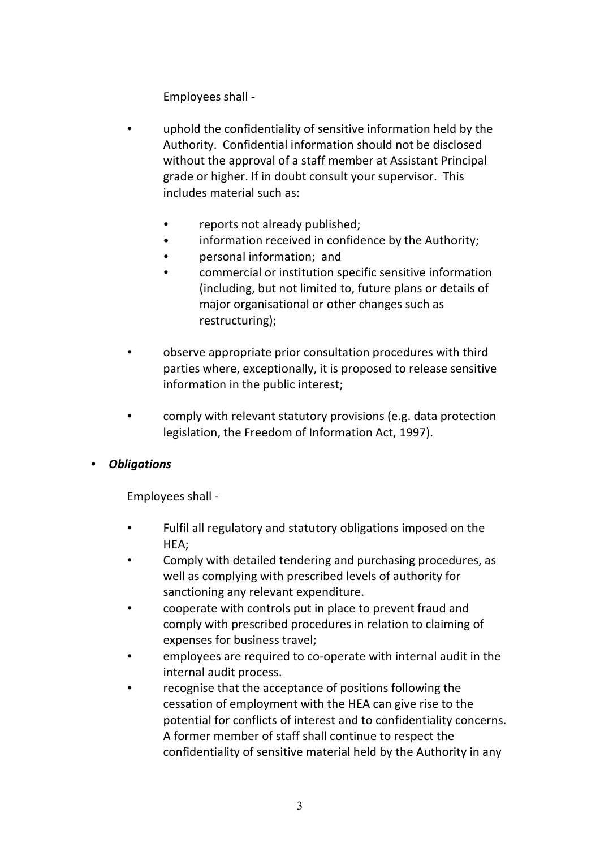Employees shall -

- uphold the confidentiality of sensitive information held by the Authority. Confidential information should not be disclosed without the approval of a staff member at Assistant Principal grade or higher. If in doubt consult your supervisor. This includes material such as:
	- reports not already published;
	- **•** information received in confidence by the Authority;
	- personal information; and
	- commercial or institution specific sensitive information (including, but not limited to, future plans or details of major organisational or other changes such as restructuring);
- observe appropriate prior consultation procedures with third parties where, exceptionally, it is proposed to release sensitive information in the public interest;
- comply with relevant statutory provisions (e.g. data protection legislation, the Freedom of Information Act, 1997).

#### *Obligations*

Employees shall -

- Fulfil all regulatory and statutory obligations imposed on the HEA;
- Comply with detailed tendering and purchasing procedures, as well as complying with prescribed levels of authority for sanctioning any relevant expenditure.
- cooperate with controls put in place to prevent fraud and comply with prescribed procedures in relation to claiming of expenses for business travel;
- employees are required to co-operate with internal audit in the internal audit process.
- recognise that the acceptance of positions following the cessation of employment with the HEA can give rise to the potential for conflicts of interest and to confidentiality concerns. A former member of staff shall continue to respect the confidentiality of sensitive material held by the Authority in any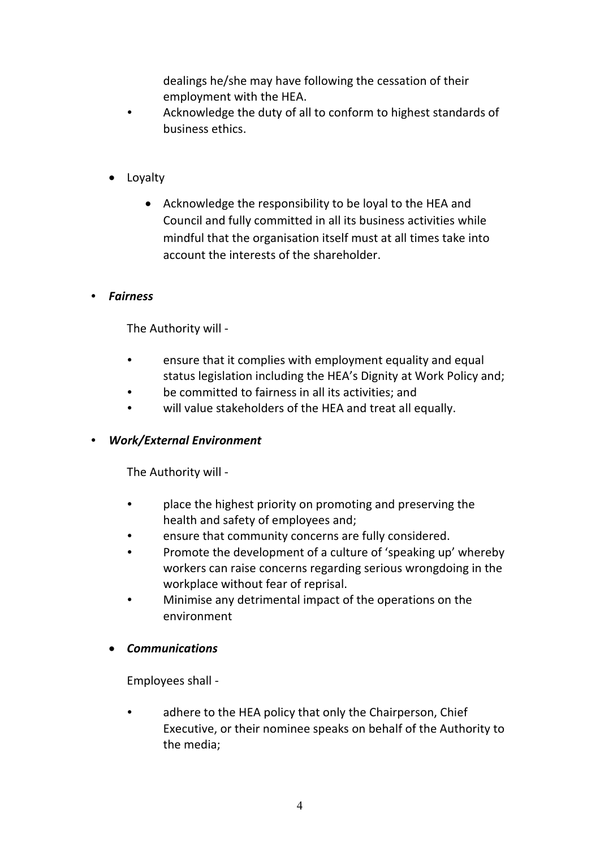dealings he/she may have following the cessation of their employment with the HEA.

- Acknowledge the duty of all to conform to highest standards of business ethics.
- Loyalty
	- Acknowledge the responsibility to be loyal to the HEA and Council and fully committed in all its business activities while mindful that the organisation itself must at all times take into account the interests of the shareholder.

#### *Fairness*

The Authority will -

- ensure that it complies with employment equality and equal status legislation including the HEA's Dignity at Work Policy and;
- be committed to fairness in all its activities; and
- will value stakeholders of the HEA and treat all equally.
- *Work/External Environment*

The Authority will -

- place the highest priority on promoting and preserving the health and safety of employees and;
- ensure that community concerns are fully considered.
- Promote the development of a culture of 'speaking up' whereby workers can raise concerns regarding serious wrongdoing in the workplace without fear of reprisal.
- Minimise any detrimental impact of the operations on the environment

#### *Communications*

Employees shall -

 adhere to the HEA policy that only the Chairperson, Chief Executive, or their nominee speaks on behalf of the Authority to the media;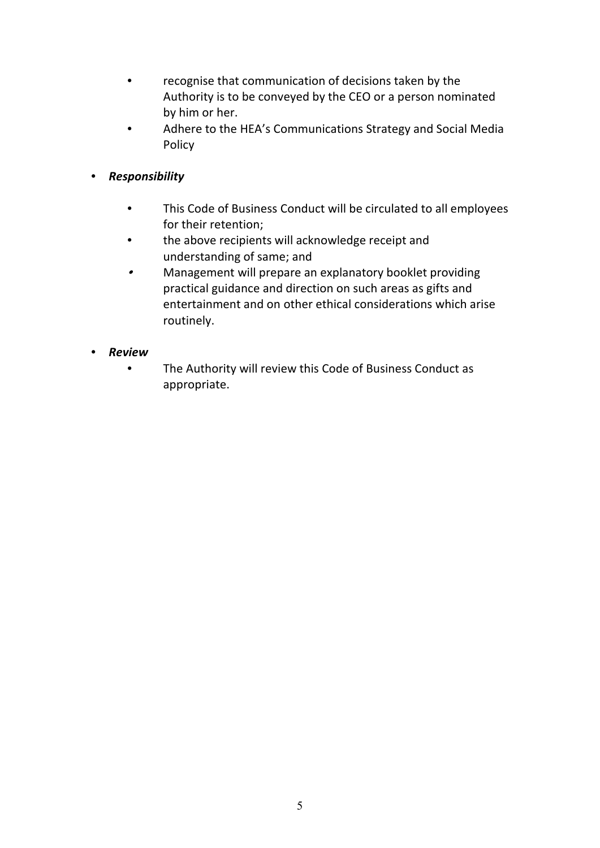- recognise that communication of decisions taken by the Authority is to be conveyed by the CEO or a person nominated by him or her.
- Adhere to the HEA's Communications Strategy and Social Media Policy
- *Responsibility*
	- This Code of Business Conduct will be circulated to all employees for their retention;
	- the above recipients will acknowledge receipt and understanding of same; and
	- $\bullet$  Management will prepare an explanatory booklet providing practical guidance and direction on such areas as gifts and entertainment and on other ethical considerations which arise routinely.

## *Review*

 The Authority will review this Code of Business Conduct as appropriate.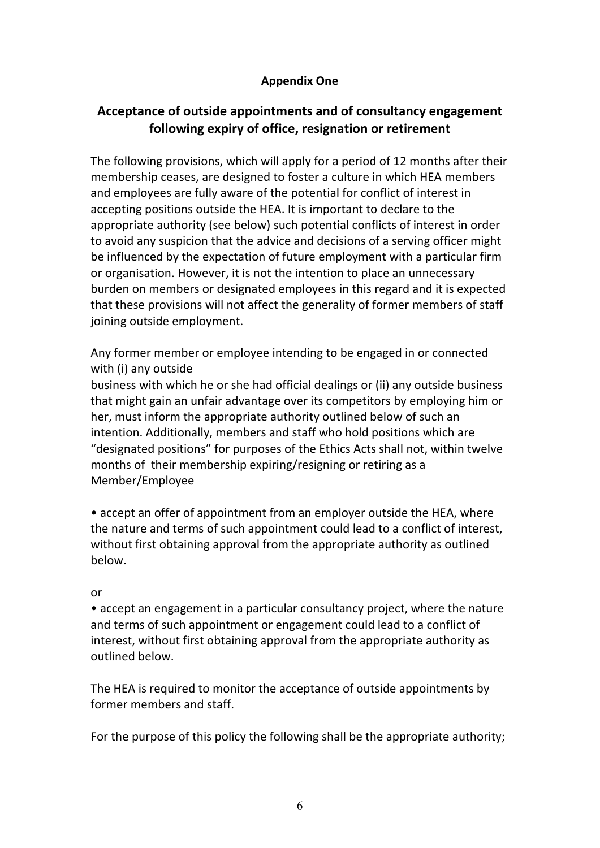### **Appendix One**

# **Acceptance of outside appointments and of consultancy engagement following expiry of office, resignation or retirement**

The following provisions, which will apply for a period of 12 months after their membership ceases, are designed to foster a culture in which HEA members and employees are fully aware of the potential for conflict of interest in accepting positions outside the HEA. It is important to declare to the appropriate authority (see below) such potential conflicts of interest in order to avoid any suspicion that the advice and decisions of a serving officer might be influenced by the expectation of future employment with a particular firm or organisation. However, it is not the intention to place an unnecessary burden on members or designated employees in this regard and it is expected that these provisions will not affect the generality of former members of staff joining outside employment.

Any former member or employee intending to be engaged in or connected with (i) any outside

business with which he or she had official dealings or (ii) any outside business that might gain an unfair advantage over its competitors by employing him or her, must inform the appropriate authority outlined below of such an intention. Additionally, members and staff who hold positions which are "designated positions" for purposes of the Ethics Acts shall not, within twelve months of their membership expiring/resigning or retiring as a Member/Employee

• accept an offer of appointment from an employer outside the HEA, where the nature and terms of such appointment could lead to a conflict of interest, without first obtaining approval from the appropriate authority as outlined below.

#### or

• accept an engagement in a particular consultancy project, where the nature and terms of such appointment or engagement could lead to a conflict of interest, without first obtaining approval from the appropriate authority as outlined below.

The HEA is required to monitor the acceptance of outside appointments by former members and staff.

For the purpose of this policy the following shall be the appropriate authority;